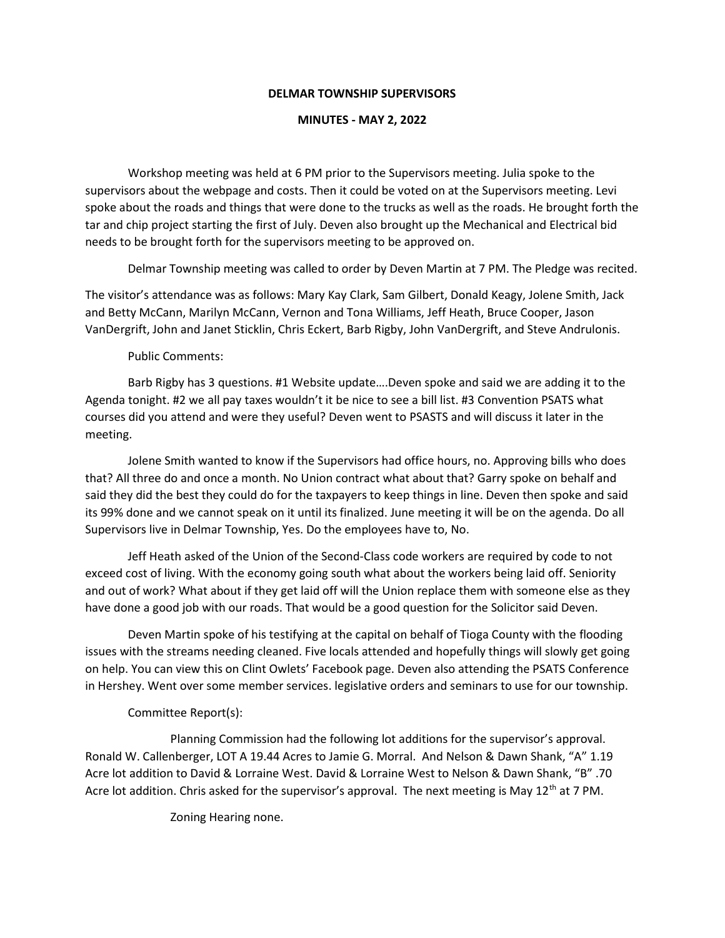## DELMAR TOWNSHIP SUPERVISORS

## MINUTES - MAY 2, 2022

Workshop meeting was held at 6 PM prior to the Supervisors meeting. Julia spoke to the supervisors about the webpage and costs. Then it could be voted on at the Supervisors meeting. Levi spoke about the roads and things that were done to the trucks as well as the roads. He brought forth the tar and chip project starting the first of July. Deven also brought up the Mechanical and Electrical bid needs to be brought forth for the supervisors meeting to be approved on.

Delmar Township meeting was called to order by Deven Martin at 7 PM. The Pledge was recited.

The visitor's attendance was as follows: Mary Kay Clark, Sam Gilbert, Donald Keagy, Jolene Smith, Jack and Betty McCann, Marilyn McCann, Vernon and Tona Williams, Jeff Heath, Bruce Cooper, Jason VanDergrift, John and Janet Sticklin, Chris Eckert, Barb Rigby, John VanDergrift, and Steve Andrulonis.

## Public Comments:

 Barb Rigby has 3 questions. #1 Website update….Deven spoke and said we are adding it to the Agenda tonight. #2 we all pay taxes wouldn't it be nice to see a bill list. #3 Convention PSATS what courses did you attend and were they useful? Deven went to PSASTS and will discuss it later in the meeting.

 Jolene Smith wanted to know if the Supervisors had office hours, no. Approving bills who does that? All three do and once a month. No Union contract what about that? Garry spoke on behalf and said they did the best they could do for the taxpayers to keep things in line. Deven then spoke and said its 99% done and we cannot speak on it until its finalized. June meeting it will be on the agenda. Do all Supervisors live in Delmar Township, Yes. Do the employees have to, No.

 Jeff Heath asked of the Union of the Second-Class code workers are required by code to not exceed cost of living. With the economy going south what about the workers being laid off. Seniority and out of work? What about if they get laid off will the Union replace them with someone else as they have done a good job with our roads. That would be a good question for the Solicitor said Deven.

 Deven Martin spoke of his testifying at the capital on behalf of Tioga County with the flooding issues with the streams needing cleaned. Five locals attended and hopefully things will slowly get going on help. You can view this on Clint Owlets' Facebook page. Deven also attending the PSATS Conference in Hershey. Went over some member services. legislative orders and seminars to use for our township.

## Committee Report(s):

 Planning Commission had the following lot additions for the supervisor's approval. Ronald W. Callenberger, LOT A 19.44 Acres to Jamie G. Morral. And Nelson & Dawn Shank, "A" 1.19 Acre lot addition to David & Lorraine West. David & Lorraine West to Nelson & Dawn Shank, "B" .70 Acre lot addition. Chris asked for the supervisor's approval. The next meeting is May 12<sup>th</sup> at 7 PM.

Zoning Hearing none.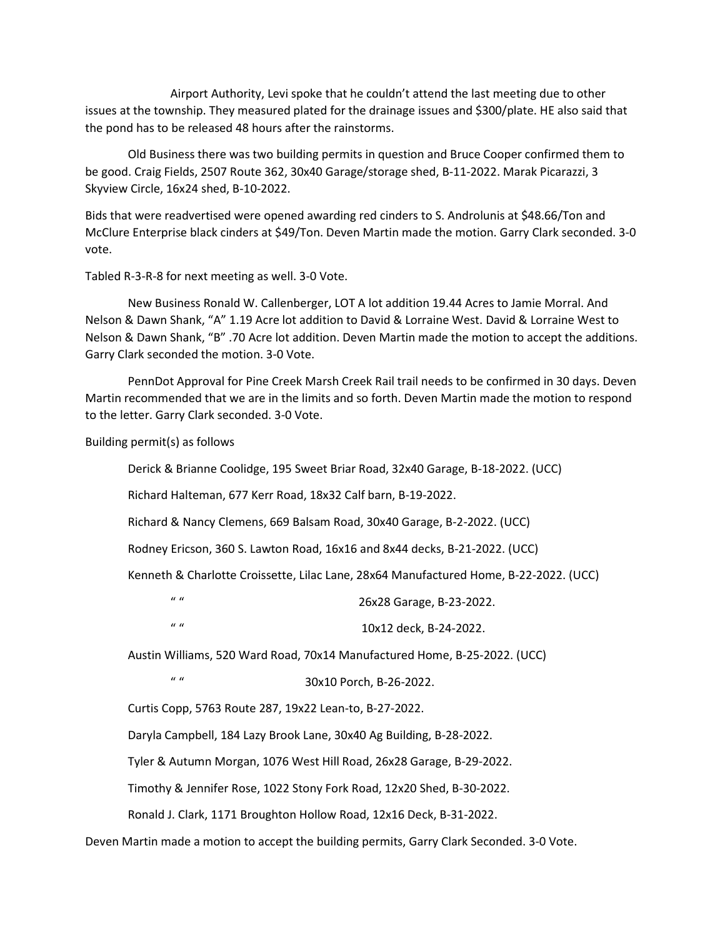Airport Authority, Levi spoke that he couldn't attend the last meeting due to other issues at the township. They measured plated for the drainage issues and \$300/plate. HE also said that the pond has to be released 48 hours after the rainstorms.

 Old Business there was two building permits in question and Bruce Cooper confirmed them to be good. Craig Fields, 2507 Route 362, 30x40 Garage/storage shed, B-11-2022. Marak Picarazzi, 3 Skyview Circle, 16x24 shed, B-10-2022.

Bids that were readvertised were opened awarding red cinders to S. Androlunis at \$48.66/Ton and McClure Enterprise black cinders at \$49/Ton. Deven Martin made the motion. Garry Clark seconded. 3-0 vote.

Tabled R-3-R-8 for next meeting as well. 3-0 Vote.

 New Business Ronald W. Callenberger, LOT A lot addition 19.44 Acres to Jamie Morral. And Nelson & Dawn Shank, "A" 1.19 Acre lot addition to David & Lorraine West. David & Lorraine West to Nelson & Dawn Shank, "B" .70 Acre lot addition. Deven Martin made the motion to accept the additions. Garry Clark seconded the motion. 3-0 Vote.

 PennDot Approval for Pine Creek Marsh Creek Rail trail needs to be confirmed in 30 days. Deven Martin recommended that we are in the limits and so forth. Deven Martin made the motion to respond to the letter. Garry Clark seconded. 3-0 Vote.

Building permit(s) as follows

Derick & Brianne Coolidge, 195 Sweet Briar Road, 32x40 Garage, B-18-2022. (UCC)

Richard Halteman, 677 Kerr Road, 18x32 Calf barn, B-19-2022.

Richard & Nancy Clemens, 669 Balsam Road, 30x40 Garage, B-2-2022. (UCC)

Rodney Ericson, 360 S. Lawton Road, 16x16 and 8x44 decks, B-21-2022. (UCC)

Kenneth & Charlotte Croissette, Lilac Lane, 28x64 Manufactured Home, B-22-2022. (UCC)

" " 26x28 Garage, B-23-2022.

" " 10x12 deck, B-24-2022.

Austin Williams, 520 Ward Road, 70x14 Manufactured Home, B-25-2022. (UCC)

" " 30x10 Porch, B-26-2022.

Curtis Copp, 5763 Route 287, 19x22 Lean-to, B-27-2022.

Daryla Campbell, 184 Lazy Brook Lane, 30x40 Ag Building, B-28-2022.

Tyler & Autumn Morgan, 1076 West Hill Road, 26x28 Garage, B-29-2022.

Timothy & Jennifer Rose, 1022 Stony Fork Road, 12x20 Shed, B-30-2022.

Ronald J. Clark, 1171 Broughton Hollow Road, 12x16 Deck, B-31-2022.

Deven Martin made a motion to accept the building permits, Garry Clark Seconded. 3-0 Vote.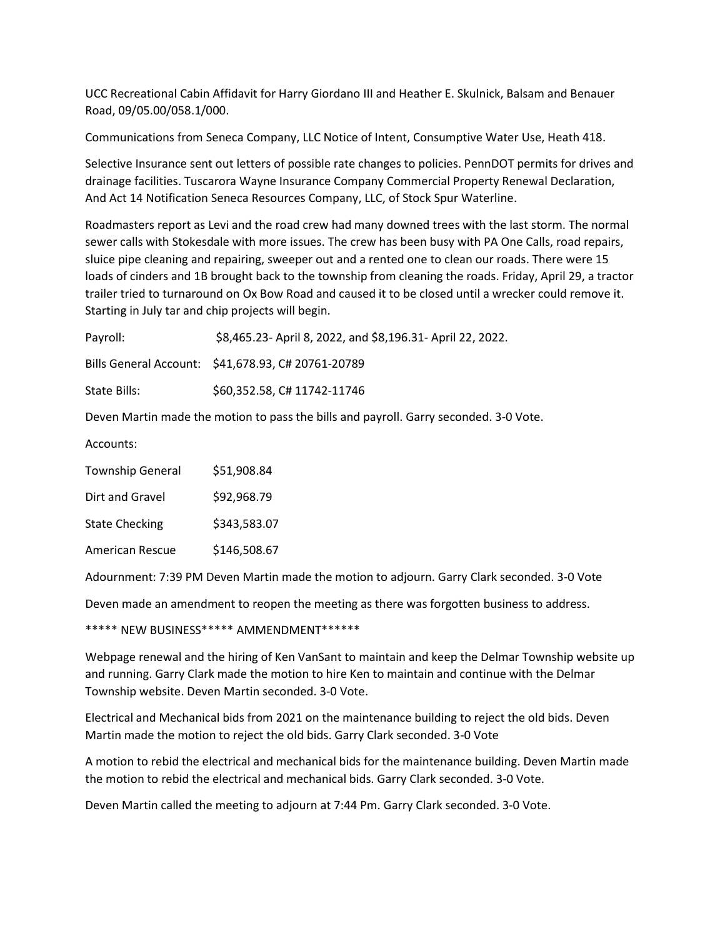UCC Recreational Cabin Affidavit for Harry Giordano III and Heather E. Skulnick, Balsam and Benauer Road, 09/05.00/058.1/000.

Communications from Seneca Company, LLC Notice of Intent, Consumptive Water Use, Heath 418.

Selective Insurance sent out letters of possible rate changes to policies. PennDOT permits for drives and drainage facilities. Tuscarora Wayne Insurance Company Commercial Property Renewal Declaration, And Act 14 Notification Seneca Resources Company, LLC, of Stock Spur Waterline.

Roadmasters report as Levi and the road crew had many downed trees with the last storm. The normal sewer calls with Stokesdale with more issues. The crew has been busy with PA One Calls, road repairs, sluice pipe cleaning and repairing, sweeper out and a rented one to clean our roads. There were 15 loads of cinders and 1B brought back to the township from cleaning the roads. Friday, April 29, a tractor trailer tried to turnaround on Ox Bow Road and caused it to be closed until a wrecker could remove it. Starting in July tar and chip projects will begin.

| Payroll:     | \$8,465.23- April 8, 2022, and \$8,196.31- April 22, 2022. |
|--------------|------------------------------------------------------------|
|              | Bills General Account: \$41,678.93, C# 20761-20789         |
| State Bills: | \$60,352.58, C# 11742-11746                                |

Deven Martin made the motion to pass the bills and payroll. Garry seconded. 3-0 Vote.

Accounts:

| <b>Township General</b> | \$51,908.84  |
|-------------------------|--------------|
| Dirt and Gravel         | \$92,968.79  |
| <b>State Checking</b>   | \$343,583.07 |

American Rescue \$146,508.67

Adournment: 7:39 PM Deven Martin made the motion to adjourn. Garry Clark seconded. 3-0 Vote

Deven made an amendment to reopen the meeting as there was forgotten business to address.

\*\*\*\*\* NEW BUSINESS\*\*\*\*\* AMMENDMENT\*\*\*\*\*\*

Webpage renewal and the hiring of Ken VanSant to maintain and keep the Delmar Township website up and running. Garry Clark made the motion to hire Ken to maintain and continue with the Delmar Township website. Deven Martin seconded. 3-0 Vote.

Electrical and Mechanical bids from 2021 on the maintenance building to reject the old bids. Deven Martin made the motion to reject the old bids. Garry Clark seconded. 3-0 Vote

A motion to rebid the electrical and mechanical bids for the maintenance building. Deven Martin made the motion to rebid the electrical and mechanical bids. Garry Clark seconded. 3-0 Vote.

Deven Martin called the meeting to adjourn at 7:44 Pm. Garry Clark seconded. 3-0 Vote.